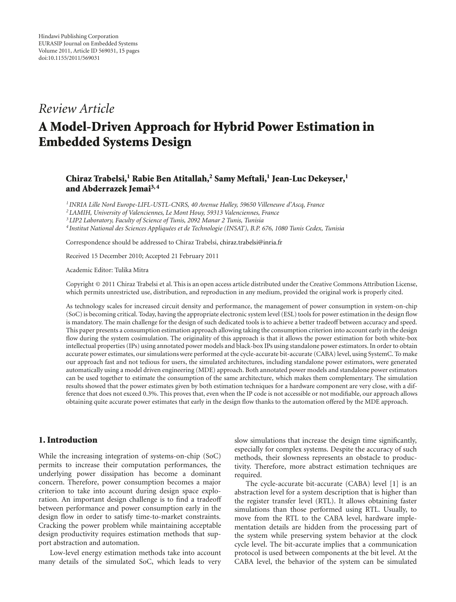## *Review Article*

# **A Model-Driven Approach for Hybrid Power Estimation in Embedded Systems Design**

### **Chiraz Trabelsi,1 Rabie Ben Atitallah,2 Samy Meftali,1 Jean-Luc Dekeyser,1 and Abderrazek Jemai3, 4**

*<sup>1</sup> INRIA Lille Nord Europe-LIFL-USTL-CNRS, 40 Avenue Halley, 59650 Villeneuve d'Ascq, France*

*2LAMIH, University of Valenciennes, Le Mont Houy, 59313 Valenciennes, France*

*3LIP2 Laboratory, Faculty of Science of Tunis, 2092 Manar 2 Tunis, Tunisia*

*<sup>4</sup> Institut National des Sciences Appliqu´ees et de Technologie (INSAT), B.P. 676, 1080 Tunis Cedex, Tunisia*

Correspondence should be addressed to Chiraz Trabelsi, chiraz.trabelsi@inria.fr

Received 15 December 2010; Accepted 21 February 2011

Academic Editor: Tulika Mitra

Copyright © 2011 Chiraz Trabelsi et al. This is an open access article distributed under the Creative Commons Attribution License, which permits unrestricted use, distribution, and reproduction in any medium, provided the original work is properly cited.

As technology scales for increased circuit density and performance, the management of power consumption in system-on-chip (SoC) is becoming critical. Today, having the appropriate electronic system level (ESL) tools for power estimation in the design flow is mandatory. The main challenge for the design of such dedicated tools is to achieve a better tradeoff between accuracy and speed. This paper presents a consumption estimation approach allowing taking the consumption criterion into account early in the design flow during the system cosimulation. The originality of this approach is that it allows the power estimation for both white-box intellectual properties (IPs) using annotated power models and black-box IPs using standalone power estimators. In order to obtain accurate power estimates, our simulations were performed at the cycle-accurate bit-accurate (CABA) level, using SystemC. To make our approach fast and not tedious for users, the simulated architectures, including standalone power estimators, were generated automatically using a model driven engineering (MDE) approach. Both annotated power models and standalone power estimators can be used together to estimate the consumption of the same architecture, which makes them complementary. The simulation results showed that the power estimates given by both estimation techniques for a hardware component are very close, with a difference that does not exceed 0.3%. This proves that, even when the IP code is not accessible or not modifiable, our approach allows obtaining quite accurate power estimates that early in the design flow thanks to the automation offered by the MDE approach.

#### **1. Introduction**

While the increasing integration of systems-on-chip (SoC) permits to increase their computation performances, the underlying power dissipation has become a dominant concern. Therefore, power consumption becomes a major criterion to take into account during design space exploration. An important design challenge is to find a tradeoff between performance and power consumption early in the design flow in order to satisfy time-to-market constraints. Cracking the power problem while maintaining acceptable design productivity requires estimation methods that support abstraction and automation.

Low-level energy estimation methods take into account many details of the simulated SoC, which leads to very slow simulations that increase the design time significantly, especially for complex systems. Despite the accuracy of such methods, their slowness represents an obstacle to productivity. Therefore, more abstract estimation techniques are required.

The cycle-accurate bit-accurate (CABA) level [1] is an abstraction level for a system description that is higher than the register transfer level (RTL). It allows obtaining faster simulations than those performed using RTL. Usually, to move from the RTL to the CABA level, hardware implementation details are hidden from the processing part of the system while preserving system behavior at the clock cycle level. The bit-accurate implies that a communication protocol is used between components at the bit level. At the CABA level, the behavior of the system can be simulated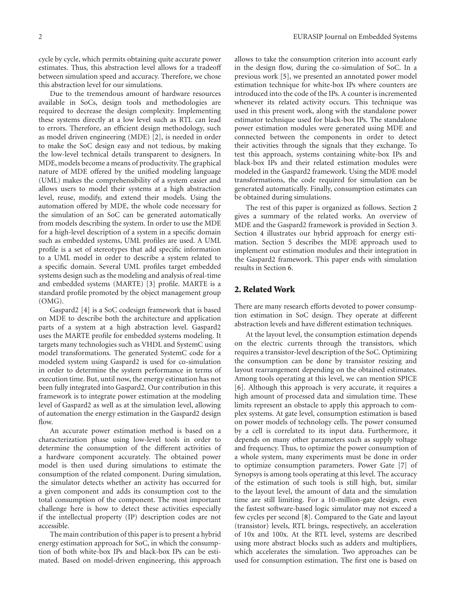cycle by cycle, which permits obtaining quite accurate power estimates. Thus, this abstraction level allows for a tradeoff between simulation speed and accuracy. Therefore, we chose this abstraction level for our simulations.

Due to the tremendous amount of hardware resources available in SoCs, design tools and methodologies are required to decrease the design complexity. Implementing these systems directly at a low level such as RTL can lead to errors. Therefore, an efficient design methodology, such as model driven engineering (MDE) [2], is needed in order to make the SoC design easy and not tedious, by making the low-level technical details transparent to designers. In MDE, models become a means of productivity. The graphical nature of MDE offered by the unified modeling language (UML) makes the comprehensibility of a system easier and allows users to model their systems at a high abstraction level, reuse, modify, and extend their models. Using the automation offered by MDE, the whole code necessary for the simulation of an SoC can be generated automatically from models describing the system. In order to use the MDE for a high-level description of a system in a specific domain such as embedded systems, UML profiles are used. A UML profile is a set of stereotypes that add specific information to a UML model in order to describe a system related to a specific domain. Several UML profiles target embedded systems design such as the modeling and analysis of real-time and embedded systems (MARTE) [3] profile. MARTE is a standard profile promoted by the object management group (OMG).

Gaspard2 [4] is a SoC codesign framework that is based on MDE to describe both the architecture and application parts of a system at a high abstraction level. Gaspard2 uses the MARTE profile for embedded systems modeling. It targets many technologies such as VHDL and SystemC using model transformations. The generated SystemC code for a modeled system using Gaspard2 is used for co-simulation in order to determine the system performance in terms of execution time. But, until now, the energy estimation has not been fully integrated into Gaspard2. Our contribution in this framework is to integrate power estimation at the modeling level of Gaspard2 as well as at the simulation level, allowing of automation the energy estimation in the Gaspard2 design flow.

An accurate power estimation method is based on a characterization phase using low-level tools in order to determine the consumption of the different activities of a hardware component accurately. The obtained power model is then used during simulations to estimate the consumption of the related component. During simulation, the simulator detects whether an activity has occurred for a given component and adds its consumption cost to the total consumption of the component. The most important challenge here is how to detect these activities especially if the intellectual property (IP) description codes are not accessible.

The main contribution of this paper is to present a hybrid energy estimation approach for SoC, in which the consumption of both white-box IPs and black-box IPs can be estimated. Based on model-driven engineering, this approach

allows to take the consumption criterion into account early in the design flow, during the co-simulation of SoC. In a previous work [5], we presented an annotated power model estimation technique for white-box IPs where counters are introduced into the code of the IPs. A counter is incremented whenever its related activity occurs. This technique was used in this present work, along with the standalone power estimator technique used for black-box IPs. The standalone power estimation modules were generated using MDE and connected between the components in order to detect their activities through the signals that they exchange. To test this approach, systems containing white-box IPs and black-box IPs and their related estimation modules were modeled in the Gaspard2 framework. Using the MDE model transformations, the code required for simulation can be generated automatically. Finally, consumption estimates can be obtained during simulations.

The rest of this paper is organized as follows. Section 2 gives a summary of the related works. An overview of MDE and the Gaspard2 framework is provided in Section 3. Section 4 illustrates our hybrid approach for energy estimation. Section 5 describes the MDE approach used to implement our estimation modules and their integration in the Gaspard2 framework. This paper ends with simulation results in Section 6.

#### **2. Related Work**

There are many research efforts devoted to power consumption estimation in SoC design. They operate at different abstraction levels and have different estimation techniques.

At the layout level, the consumption estimation depends on the electric currents through the transistors, which requires a transistor-level description of the SoC. Optimizing the consumption can be done by transistor resizing and layout rearrangement depending on the obtained estimates. Among tools operating at this level, we can mention SPICE [6]. Although this approach is very accurate, it requires a high amount of processed data and simulation time. These limits represent an obstacle to apply this approach to complex systems. At gate level, consumption estimation is based on power models of technology cells. The power consumed by a cell is correlated to its input data. Furthermore, it depends on many other parameters such as supply voltage and frequency. Thus, to optimize the power consumption of a whole system, many experiments must be done in order to optimize consumption parameters. Power Gate [7] of Synopsys is among tools operating at this level. The accuracy of the estimation of such tools is still high, but, similar to the layout level, the amount of data and the simulation time are still limiting. For a 10-million-gate design, even the fastest software-based logic simulator may not exceed a few cycles per second [8]. Compared to the Gate and layout (transistor) levels, RTL brings, respectively, an acceleration of 10x and 100x. At the RTL level, systems are described using more abstract blocks such as adders and multipliers, which accelerates the simulation. Two approaches can be used for consumption estimation. The first one is based on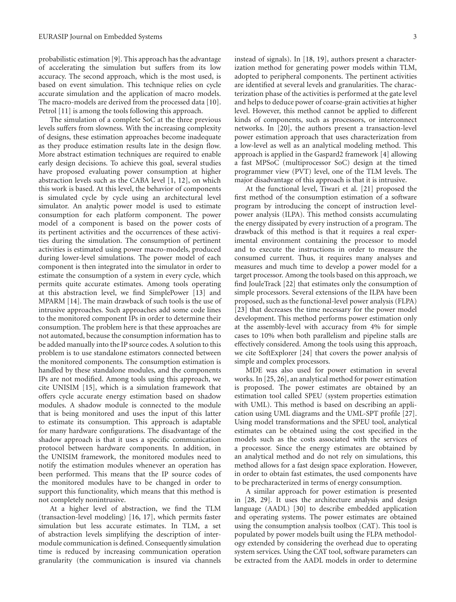probabilistic estimation [9]. This approach has the advantage of accelerating the simulation but suffers from its low accuracy. The second approach, which is the most used, is based on event simulation. This technique relies on cycle accurate simulation and the application of macro models. The macro-models are derived from the processed data [10]. Petrol [11] is among the tools following this approach.

The simulation of a complete SoC at the three previous levels suffers from slowness. With the increasing complexity of designs, these estimation approaches become inadequate as they produce estimation results late in the design flow. More abstract estimation techniques are required to enable early design decisions. To achieve this goal, several studies have proposed evaluating power consumption at higher abstraction levels such as the CABA level [1, 12], on which this work is based. At this level, the behavior of components is simulated cycle by cycle using an architectural level simulator. An analytic power model is used to estimate consumption for each platform component. The power model of a component is based on the power costs of its pertinent activities and the occurrences of these activities during the simulation. The consumption of pertinent activities is estimated using power macro-models, produced during lower-level simulations. The power model of each component is then integrated into the simulator in order to estimate the consumption of a system in every cycle, which permits quite accurate estimates. Among tools operating at this abstraction level, we find SimplePower [13] and MPARM [14]. The main drawback of such tools is the use of intrusive approaches. Such approaches add some code lines to the monitored component IPs in order to determine their consumption. The problem here is that these approaches are not automated, because the consumption information has to be added manually into the IP source codes. A solution to this problem is to use standalone estimators connected between the monitored components. The consumption estimation is handled by these standalone modules, and the components IPs are not modified. Among tools using this approach, we cite UNISIM [15], which is a simulation framework that offers cycle accurate energy estimation based on shadow modules. A shadow module is connected to the module that is being monitored and uses the input of this latter to estimate its consumption. This approach is adaptable for many hardware configurations. The disadvantage of the shadow approach is that it uses a specific communication protocol between hardware components. In addition, in the UNISIM framework, the monitored modules need to notify the estimation modules whenever an operation has been performed. This means that the IP source codes of the monitored modules have to be changed in order to support this functionality, which means that this method is not completely nonintrusive.

At a higher level of abstraction, we find the TLM (transaction-level modeling) [16, 17], which permits faster simulation but less accurate estimates. In TLM, a set of abstraction levels simplifying the description of intermodule communication is defined. Consequently simulation time is reduced by increasing communication operation granularity (the communication is insured via channels

instead of signals). In [18, 19], authors present a characterization method for generating power models within TLM, adopted to peripheral components. The pertinent activities are identified at several levels and granularities. The characterization phase of the activities is performed at the gate level and helps to deduce power of coarse-grain activities at higher level. However, this method cannot be applied to different kinds of components, such as processors, or interconnect networks. In [20], the authors present a transaction-level power estimation approach that uses characterization from a low-level as well as an analytical modeling method. This approach is applied in the Gaspard2 framework [4] allowing a fast MPSoC (multiprocessor SoC) design at the timed programmer view (PVT) level, one of the TLM levels. The major disadvantage of this approach is that it is intrusive.

At the functional level, Tiwari et al. [21] proposed the first method of the consumption estimation of a software program by introducing the concept of instruction levelpower analysis (ILPA). This method consists accumulating the energy dissipated by every instruction of a program. The drawback of this method is that it requires a real experimental environment containing the processor to model and to execute the instructions in order to measure the consumed current. Thus, it requires many analyses and measures and much time to develop a power model for a target processor. Among the tools based on this approach, we find JouleTrack [22] that estimates only the consumption of simple processors. Several extensions of the ILPA have been proposed, such as the functional-level power analysis (FLPA) [23] that decreases the time necessary for the power model development. This method performs power estimation only at the assembly-level with accuracy from 4% for simple cases to 10% when both parallelism and pipeline stalls are effectively considered. Among the tools using this approach, we cite SoftExplorer [24] that covers the power analysis of simple and complex processors.

MDE was also used for power estimation in several works. In [25, 26], an analytical method for power estimation is proposed. The power estimates are obtained by an estimation tool called SPEU (system properties estimation with UML). This method is based on describing an application using UML diagrams and the UML-SPT profile [27]. Using model transformations and the SPEU tool, analytical estimates can be obtained using the cost specified in the models such as the costs associated with the services of a processor. Since the energy estimates are obtained by an analytical method and do not rely on simulations, this method allows for a fast design space exploration. However, in order to obtain fast estimates, the used components have to be precharacterized in terms of energy consumption.

A similar approach for power estimation is presented in [28, 29]. It uses the architecture analysis and design language (AADL) [30] to describe embedded application and operating systems. The power estimates are obtained using the consumption analysis toolbox (CAT). This tool is populated by power models built using the FLPA methodology extended by considering the overhead due to operating system services. Using the CAT tool, software parameters can be extracted from the AADL models in order to determine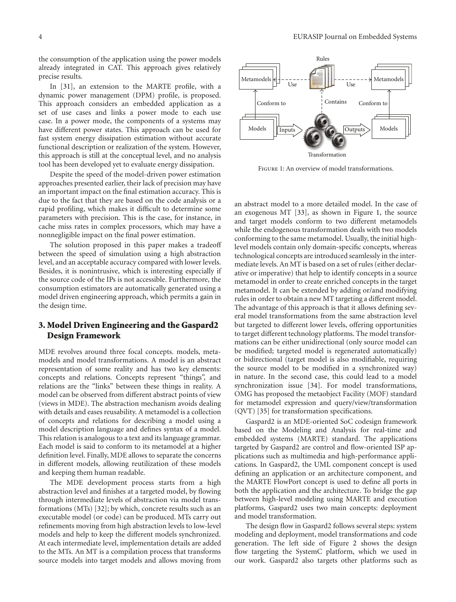the consumption of the application using the power models already integrated in CAT. This approach gives relatively precise results.

In [31], an extension to the MARTE profile, with a dynamic power management (DPM) profile, is proposed. This approach considers an embedded application as a set of use cases and links a power mode to each use case. In a power mode, the components of a systems may have different power states. This approach can be used for fast system energy dissipation estimation without accurate functional description or realization of the system. However, this approach is still at the conceptual level, and no analysis tool has been developed yet to evaluate energy dissipation.

Despite the speed of the model-driven power estimation approaches presented earlier, their lack of precision may have an important impact on the final estimation accuracy. This is due to the fact that they are based on the code analysis or a rapid profiling, which makes it difficult to determine some parameters with precision. This is the case, for instance, in cache miss rates in complex processors, which may have a nonnegligible impact on the final power estimation.

The solution proposed in this paper makes a tradeoff between the speed of simulation using a high abstraction level, and an acceptable accuracy compared with lower levels. Besides, it is nonintrusive, which is interesting especially if the source code of the IPs is not accessible. Furthermore, the consumption estimators are automatically generated using a model driven engineering approach, which permits a gain in the design time.

#### **3. Model Driven Engineering and the Gaspard2 Design Framework**

MDE revolves around three focal concepts. models, metamodels and model transformations. A model is an abstract representation of some reality and has two key elements: concepts and relations. Concepts represent "things", and relations are the "links" between these things in reality. A model can be observed from different abstract points of view (views in MDE). The abstraction mechanism avoids dealing with details and eases reusability. A metamodel is a collection of concepts and relations for describing a model using a model description language and defines syntax of a model. This relation is analogous to a text and its language grammar. Each model is said to conform to its metamodel at a higher definition level. Finally, MDE allows to separate the concerns in different models, allowing reutilization of these models and keeping them human readable.

The MDE development process starts from a high abstraction level and finishes at a targeted model, by flowing through intermediate levels of abstraction via model transformations (MTs) [32]; by which, concrete results such as an executable model (or code) can be produced. MTs carry out refinements moving from high abstraction levels to low-level models and help to keep the different models synchronized. At each intermediate level, implementation details are added to the MTs. An MT is a compilation process that transforms source models into target models and allows moving from



Figure 1: An overview of model transformations.

an abstract model to a more detailed model. In the case of an exogenous MT [33], as shown in Figure 1, the source and target models conform to two different metamodels while the endogenous transformation deals with two models conforming to the same metamodel. Usually, the initial highlevel models contain only domain-specific concepts, whereas technological concepts are introduced seamlessly in the intermediate levels. An MT is based on a set of rules (either declarative or imperative) that help to identify concepts in a source metamodel in order to create enriched concepts in the target metamodel. It can be extended by adding or/and modifying rules in order to obtain a new MT targeting a different model. The advantage of this approach is that it allows defining several model transformations from the same abstraction level but targeted to different lower levels, offering opportunities to target different technology platforms. The model transformations can be either unidirectional (only source model can be modified; targeted model is regenerated automatically) or bidirectional (target model is also modifiable, requiring the source model to be modified in a synchronized way) in nature. In the second case, this could lead to a model synchronization issue [34]. For model transformations, OMG has proposed the metaobject Facility (MOF) standard for metamodel expression and query/view/transformation (QVT) [35] for transformation specifications.

Gaspard2 is an MDE-oriented SoC codesign framework based on the Modeling and Analysis for real-time and embedded systems (MARTE) standard. The applications targeted by Gaspard2 are control and flow-oriented ISP applications such as multimedia and high-performance applications. In Gaspard2, the UML component concept is used defining an application or an architecture component, and the MARTE FlowPort concept is used to define all ports in both the application and the architecture. To bridge the gap between high-level modeling using MARTE and execution platforms, Gaspard2 uses two main concepts: deployment and model transformation.

The design flow in Gaspard2 follows several steps: system modeling and deployment, model transformations and code generation. The left side of Figure 2 shows the design flow targeting the SystemC platform, which we used in our work. Gaspard2 also targets other platforms such as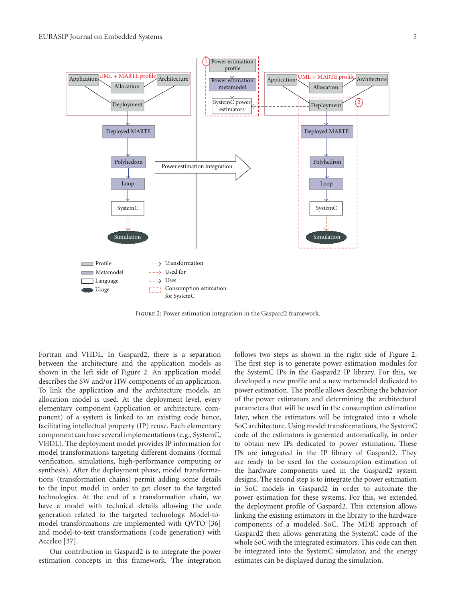



Figure 2: Power estimation integration in the Gaspard2 framework.

Fortran and VHDL. In Gaspard2, there is a separation between the architecture and the application models as shown in the left side of Figure 2. An application model describes the SW and/or HW components of an application. To link the application and the architecture models, an allocation model is used. At the deployment level, every elementary component (application or architecture, component) of a system is linked to an existing code hence, facilitating intellectual property (IP) reuse. Each elementary component can have several implementations (e.g., SystemC, VHDL). The deployment model provides IP information for model transformations targeting different domains (formal verification, simulations, high-performance computing or synthesis). After the deployment phase, model transformations (transformation chains) permit adding some details to the input model in order to get closer to the targeted technologies. At the end of a transformation chain, we have a model with technical details allowing the code generation related to the targeted technology. Model-tomodel transformations are implemented with QVTO [36] and model-to-text transformations (code generation) with Acceleo [37].

Our contribution in Gaspard2 is to integrate the power estimation concepts in this framework. The integration

follows two steps as shown in the right side of Figure 2. The first step is to generate power estimation modules for the SystemC IPs in the Gaspard2 IP library. For this, we developed a new profile and a new metamodel dedicated to power estimation. The profile allows describing the behavior of the power estimators and determining the architectural parameters that will be used in the consumption estimation later, when the estimators will be integrated into a whole SoC architecture. Using model transformations, the SystemC code of the estimators is generated automatically, in order to obtain new IPs dedicated to power estimation. These IPs are integrated in the IP library of Gaspard2. They are ready to be used for the consumption estimation of the hardware components used in the Gaspard2 system designs. The second step is to integrate the power estimation in SoC models in Gaspard2 in order to automate the power estimation for these systems. For this, we extended the deployment profile of Gaspard2. This extension allows linking the existing estimators in the library to the hardware components of a modeled SoC. The MDE approach of Gaspard2 then allows generating the SystemC code of the whole SoC with the integrated estimators. This code can then be integrated into the SystemC simulator, and the energy estimates can be displayed during the simulation.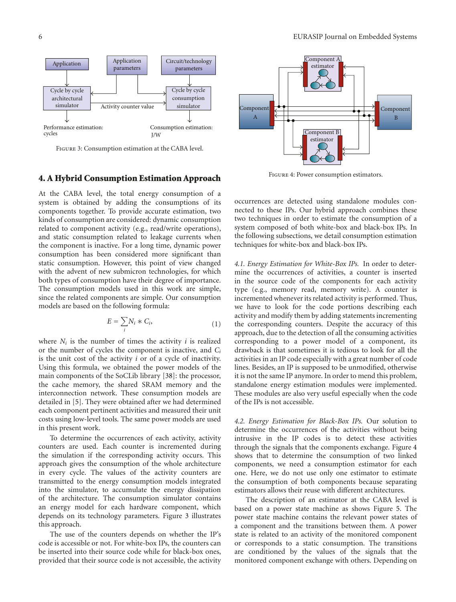

Figure 3: Consumption estimation at the CABA level.

#### **4. A Hybrid Consumption Estimation Approach**

At the CABA level, the total energy consumption of a system is obtained by adding the consumptions of its components together. To provide accurate estimation, two kinds of consumption are considered: dynamic consumption related to component activity (e.g., read/write operations), and static consumption related to leakage currents when the component is inactive. For a long time, dynamic power consumption has been considered more significant than static consumption. However, this point of view changed with the advent of new submicron technologies, for which both types of consumption have their degree of importance. The consumption models used in this work are simple, since the related components are simple. Our consumption models are based on the following formula:

$$
E = \sum_{i} N_i * C_i,
$$
 (1)

where  $N_i$  is the number of times the activity  $i$  is realized or the number of cycles the component is inactive, and *Ci* is the unit cost of the activity *i* or of a cycle of inactivity. Using this formula, we obtained the power models of the main components of the SoCLib library [38]: the processor, the cache memory, the shared SRAM memory and the interconnection network. These consumption models are detailed in [5]. They were obtained after we had determined each component pertinent activities and measured their unit costs using low-level tools. The same power models are used in this present work.

To determine the occurrences of each activity, activity counters are used. Each counter is incremented during the simulation if the corresponding activity occurs. This approach gives the consumption of the whole architecture in every cycle. The values of the activity counters are transmitted to the energy consumption models integrated into the simulator, to accumulate the energy dissipation of the architecture. The consumption simulator contains an energy model for each hardware component, which depends on its technology parameters. Figure 3 illustrates this approach.

The use of the counters depends on whether the IP's code is accessible or not. For white-box IPs, the counters can be inserted into their source code while for black-box ones, provided that their source code is not accessible, the activity



Figure 4: Power consumption estimators.

occurrences are detected using standalone modules connected to these IPs. Our hybrid approach combines these two techniques in order to estimate the consumption of a system composed of both white-box and black-box IPs. In the following subsections, we detail consumption estimation techniques for white-box and black-box IPs.

*4.1. Energy Estimation for White-Box IPs.* In order to determine the occurrences of activities, a counter is inserted in the source code of the components for each activity type (e.g., memory read, memory write). A counter is incremented whenever its related activity is performed. Thus, we have to look for the code portions describing each activity and modify them by adding statements incrementing the corresponding counters. Despite the accuracy of this approach, due to the detection of all the consuming activities corresponding to a power model of a component, its drawback is that sometimes it is tedious to look for all the activities in an IP code especially with a great number of code lines. Besides, an IP is supposed to be unmodified, otherwise it is not the same IP anymore. In order to mend this problem, standalone energy estimation modules were implemented. These modules are also very useful especially when the code of the IPs is not accessible.

*4.2. Energy Estimation for Black-Box IPs.* Our solution to determine the occurrences of the activities without being intrusive in the IP codes is to detect these activities through the signals that the components exchange. Figure 4 shows that to determine the consumption of two linked components, we need a consumption estimator for each one. Here, we do not use only one estimator to estimate the consumption of both components because separating estimators allows their reuse with different architectures.

The description of an estimator at the CABA level is based on a power state machine as shows Figure 5. The power state machine contains the relevant power states of a component and the transitions between them. A power state is related to an activity of the monitored component or corresponds to a static consumption. The transitions are conditioned by the values of the signals that the monitored component exchange with others. Depending on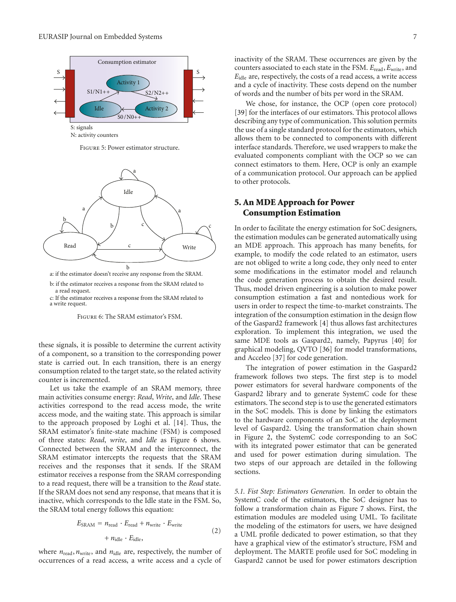

Figure 5: Power estimator structure.



a: if the estimator doesn't receive any response from the SRAM.

b: if the estimator receives a response from the SRAM related to a read request.

c: If the estimator receives a response from the SRAM related to a write request.

Figure 6: The SRAM estimator's FSM.

these signals, it is possible to determine the current activity of a component, so a transition to the corresponding power state is carried out. In each transition, there is an energy consumption related to the target state, so the related activity counter is incremented.

Let us take the example of an SRAM memory, three main activities consume energy: *Read*, *Write*, and *Idle*. These activities correspond to the read access mode, the write access mode, and the waiting state. This approach is similar to the approach proposed by Loghi et al. [14]. Thus, the SRAM estimator's finite-state machine (FSM) is composed of three states: *Read*, *write*, and *Idle* as Figure 6 shows. Connected between the SRAM and the interconnect, the SRAM estimator intercepts the requests that the SRAM receives and the responses that it sends. If the SRAM estimator receives a response from the SRAM corresponding to a read request, there will be a transition to the *Read* state. If the SRAM does not send any response, that means that it is inactive, which corresponds to the Idle state in the FSM. So, the SRAM total energy follows this equation:

$$
E_{\text{SRAM}} = n_{\text{read}} \cdot E_{\text{read}} + n_{\text{write}} \cdot E_{\text{write}}
$$

$$
+ n_{\text{idle}} \cdot E_{\text{idle}}, \tag{2}
$$

where  $n_{\text{read}}, n_{\text{write}}$ , and  $n_{\text{idle}}$  are, respectively, the number of occurrences of a read access, a write access and a cycle of inactivity of the SRAM. These occurrences are given by the counters associated to each state in the FSM. *E*read, *E*write, and *E*idle are, respectively, the costs of a read access, a write access and a cycle of inactivity. These costs depend on the number of words and the number of bits per word in the SRAM.

We chose, for instance, the OCP (open core protocol) [39] for the interfaces of our estimators. This protocol allows describing any type of communication. This solution permits the use of a single standard protocol for the estimators, which allows them to be connected to components with different interface standards. Therefore, we used wrappers to make the evaluated components compliant with the OCP so we can connect estimators to them. Here, OCP is only an example of a communication protocol. Our approach can be applied to other protocols.

#### **5. An MDE Approach for Power Consumption Estimation**

In order to facilitate the energy estimation for SoC designers, the estimation modules can be generated automatically using an MDE approach. This approach has many benefits, for example, to modify the code related to an estimator, users are not obliged to write a long code, they only need to enter some modifications in the estimator model and relaunch the code generation process to obtain the desired result. Thus, model driven engineering is a solution to make power consumption estimation a fast and nontedious work for users in order to respect the time-to-market constraints. The integration of the consumption estimation in the design flow of the Gaspard2 framework [4] thus allows fast architectures exploration. To implement this integration, we used the same MDE tools as Gaspard2, namely, Papyrus [40] for graphical modeling, QVTO [36] for model transformations, and Acceleo [37] for code generation.

The integration of power estimation in the Gaspard2 framework follows two steps. The first step is to model power estimators for several hardware components of the Gaspard2 library and to generate SystemC code for these estimators. The second step is to use the generated estimators in the SoC models. This is done by linking the estimators to the hardware components of an SoC at the deployment level of Gaspard2. Using the transformation chain shown in Figure 2, the SystemC code corresponding to an SoC with its integrated power estimator that can be generated and used for power estimation during simulation. The two steps of our approach are detailed in the following sections.

*5.1. Fist Step: Estimators Generation.* In order to obtain the SystemC code of the estimators, the SoC designer has to follow a transformation chain as Figure 7 shows. First, the estimation modules are modeled using UML. To facilitate the modeling of the estimators for users, we have designed a UML profile dedicated to power estimation, so that they have a graphical view of the estimator's structure, FSM and deployment. The MARTE profile used for SoC modeling in Gaspard2 cannot be used for power estimators description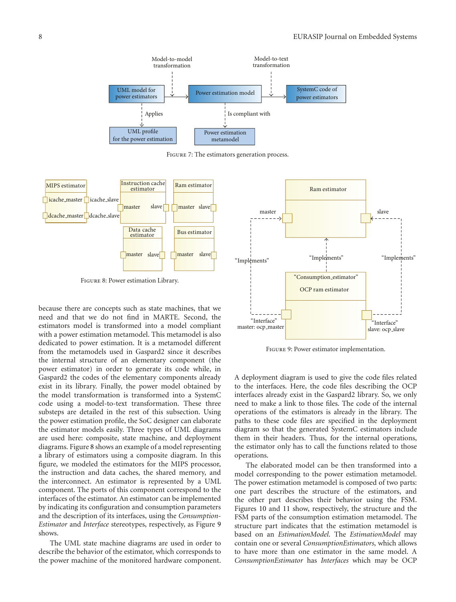

FIGURE 7: The estimators generation process.



Figure 8: Power estimation Library.

because there are concepts such as state machines, that we need and that we do not find in MARTE. Second, the estimators model is transformed into a model compliant with a power estimation metamodel. This metamodel is also dedicated to power estimation. It is a metamodel different from the metamodels used in Gaspard2 since it describes the internal structure of an elementary component (the power estimator) in order to generate its code while, in Gaspard2 the codes of the elementary components already exist in its library. Finally, the power model obtained by the model transformation is transformed into a SystemC code using a model-to-text transformation. These three substeps are detailed in the rest of this subsection. Using the power estimation profile, the SoC designer can elaborate the estimator models easily. Three types of UML diagrams are used here: composite, state machine, and deployment diagrams. Figure 8 shows an example of a model representing a library of estimators using a composite diagram. In this figure, we modeled the estimators for the MIPS processor, the instruction and data caches, the shared memory, and the interconnect. An estimator is represented by a UML component. The ports of this component correspond to the interfaces of the estimator. An estimator can be implemented by indicating its configuration and consumption parameters and the description of its interfaces, using the *Consumption-Estimator* and *Interface* stereotypes, respectively, as Figure 9 shows.

The UML state machine diagrams are used in order to describe the behavior of the estimator, which corresponds to the power machine of the monitored hardware component.



Figure 9: Power estimator implementation.

A deployment diagram is used to give the code files related to the interfaces. Here, the code files describing the OCP interfaces already exist in the Gaspard2 library. So, we only need to make a link to those files. The code of the internal operations of the estimators is already in the library. The paths to these code files are specified in the deployment diagram so that the generated SystemC estimators include them in their headers. Thus, for the internal operations, the estimator only has to call the functions related to those operations.

The elaborated model can be then transformed into a model corresponding to the power estimation metamodel. The power estimation metamodel is composed of two parts: one part describes the structure of the estimators, and the other part describes their behavior using the FSM. Figures 10 and 11 show, respectively, the structure and the FSM parts of the consumption estimation metamodel. The structure part indicates that the estimation metamodel is based on an *EstimationModel*. The *EstimationModel* may contain one or several *ConsumptionEstimators*, which allows to have more than one estimator in the same model. A *ConsumptionEstimator* has *Interfaces* which may be OCP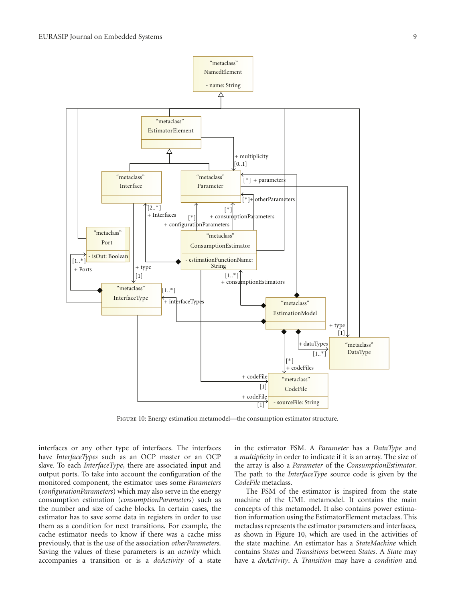

Figure 10: Energy estimation metamodel—the consumption estimator structure.

interfaces or any other type of interfaces. The interfaces have *InterfaceTypes* such as an OCP master or an OCP slave. To each *InterfaceType*, there are associated input and output ports. To take into account the configuration of the monitored component, the estimator uses some *Parameters* (*configurationParameters*) which may also serve in the energy consumption estimation (*consumptionParameters*) such as the number and size of cache blocks. In certain cases, the estimator has to save some data in registers in order to use them as a condition for next transitions. For example, the cache estimator needs to know if there was a cache miss previously, that is the use of the association *otherParameters*. Saving the values of these parameters is an *activity* which accompanies a transition or is a *doActivity* of a state

in the estimator FSM. A *Parameter* has a *DataType* and a *multiplicity* in order to indicate if it is an array. The size of the array is also a *Parameter* of the *ConsumptionEstimator*. The path to the *InterfaceType* source code is given by the *CodeFile* metaclass.

The FSM of the estimator is inspired from the state machine of the UML metamodel. It contains the main concepts of this metamodel. It also contains power estimation information using the EstimatorElement metaclass. This metaclass represents the estimator parameters and interfaces, as shown in Figure 10, which are used in the activities of the state machine. An estimator has a *StateMachine* which contains *States* and *Transitions* between *States*. A *State* may have a *doActivity*. A *Transition* may have a *condition* and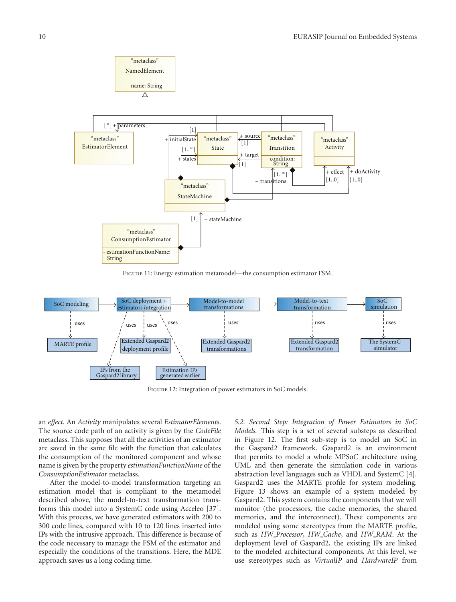

Figure 11: Energy estimation metamodel—the consumption estimator FSM.



Figure 12: Integration of power estimators in SoC models.

an *effect*. An *Activity* manipulates several *EstimatorElements*. The source code path of an activity is given by the *CodeFile* metaclass. This supposes that all the activities of an estimator are saved in the same file with the function that calculates the consumption of the monitored component and whose name is given by the property *estimationFunctionName* of the *ConsumptionEstimator* metaclass.

After the model-to-model transformation targeting an estimation model that is compliant to the metamodel described above, the model-to-text transformation transforms this model into a SystemC code using Acceleo [37]. With this process, we have generated estimators with 200 to 300 code lines, compared with 10 to 120 lines inserted into IPs with the intrusive approach. This difference is because of the code necessary to manage the FSM of the estimator and especially the conditions of the transitions. Here, the MDE approach saves us a long coding time.

*5.2. Second Step: Integration of Power Estimators in SoC Models.* This step is a set of several substeps as described in Figure 12. The first sub-step is to model an SoC in the Gaspard2 framework. Gaspard2 is an environment that permits to model a whole MPSoC architecture using UML and then generate the simulation code in various abstraction level languages such as VHDL and SystemC [4]. Gaspard2 uses the MARTE profile for system modeling. Figure 13 shows an example of a system modeled by Gaspard2. This system contains the components that we will monitor (the processors, the cache memories, the shared memories, and the interconnect). These components are modeled using some stereotypes from the MARTE profile, such as *HW Processor*, *HW Cache*, and *HW RAM*. At the deployment level of Gaspard2, the existing IPs are linked to the modeled architectural components. At this level, we use stereotypes such as *VirtualIP* and *HardwareIP* from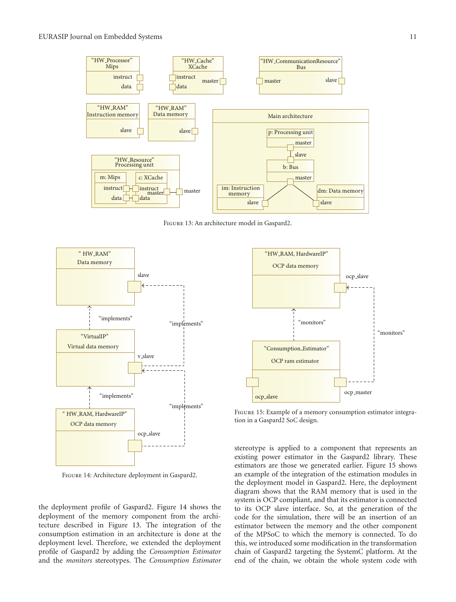#### EURASIP Journal on Embedded Systems 11



Figure 13: An architecture model in Gaspard2.



Figure 14: Architecture deployment in Gaspard2.

the deployment profile of Gaspard2. Figure 14 shows the deployment of the memory component from the architecture described in Figure 13. The integration of the consumption estimation in an architecture is done at the deployment level. Therefore, we extended the deployment profile of Gaspard2 by adding the *Consumption Estimator* and the *monitors* stereotypes. The *Consumption Estimator*



Figure 15: Example of a memory consumption estimator integration in a Gaspard2 SoC design.

stereotype is applied to a component that represents an existing power estimator in the Gaspard2 library. These estimators are those we generated earlier. Figure 15 shows an example of the integration of the estimation modules in the deployment model in Gaspard2. Here, the deployment diagram shows that the RAM memory that is used in the system is OCP compliant, and that its estimator is connected to its OCP slave interface. So, at the generation of the code for the simulation, there will be an insertion of an estimator between the memory and the other component of the MPSoC to which the memory is connected. To do this, we introduced some modification in the transformation chain of Gaspard2 targeting the SystemC platform. At the end of the chain, we obtain the whole system code with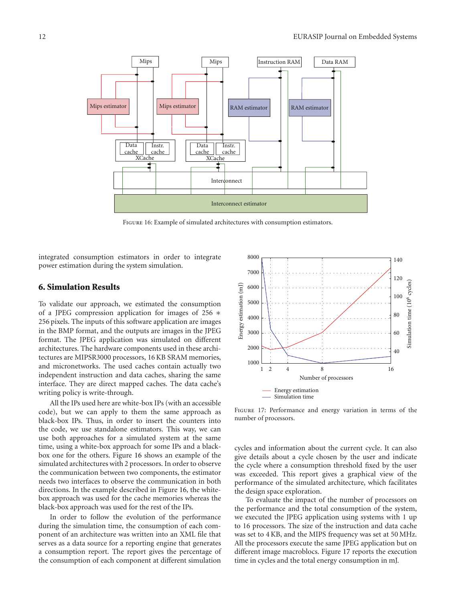

FIGURE 16: Example of simulated architectures with consumption estimators.

integrated consumption estimators in order to integrate power estimation during the system simulation.

#### **6. Simulation Results**

To validate our approach, we estimated the consumption of a JPEG compression application for images of 256 ∗ 256 pixels. The inputs of this software application are images in the BMP format, and the outputs are images in the JPEG format. The JPEG application was simulated on different architectures. The hardware components used in these architectures are MIPSR3000 processors, 16 KB SRAM memories, and micronetworks. The used caches contain actually two independent instruction and data caches, sharing the same interface. They are direct mapped caches. The data cache's writing policy is write-through.

All the IPs used here are white-box IPs (with an accessible code), but we can apply to them the same approach as black-box IPs. Thus, in order to insert the counters into the code, we use standalone estimators. This way, we can use both approaches for a simulated system at the same time, using a white-box approach for some IPs and a blackbox one for the others. Figure 16 shows an example of the simulated architectures with 2 processors. In order to observe the communication between two components, the estimator needs two interfaces to observe the communication in both directions. In the example described in Figure 16, the whitebox approach was used for the cache memories whereas the black-box approach was used for the rest of the IPs.

In order to follow the evolution of the performance during the simulation time, the consumption of each component of an architecture was written into an XML file that serves as a data source for a reporting engine that generates a consumption report. The report gives the percentage of the consumption of each component at different simulation



FIGURE 17: Performance and energy variation in terms of the number of processors.

cycles and information about the current cycle. It can also give details about a cycle chosen by the user and indicate the cycle where a consumption threshold fixed by the user was exceeded. This report gives a graphical view of the performance of the simulated architecture, which facilitates the design space exploration.

To evaluate the impact of the number of processors on the performance and the total consumption of the system, we executed the JPEG application using systems with 1 up to 16 processors. The size of the instruction and data cache was set to 4 KB, and the MIPS frequency was set at 50 MHz. All the processors execute the same JPEG application but on different image macroblocs. Figure 17 reports the execution time in cycles and the total energy consumption in mJ.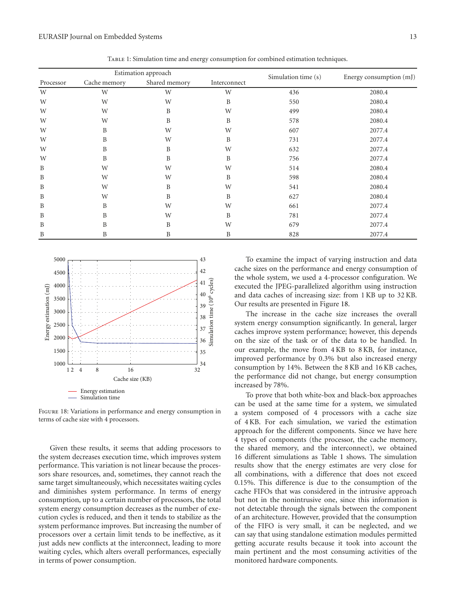| Estimation approach |              |               |              |                     |                         |
|---------------------|--------------|---------------|--------------|---------------------|-------------------------|
| Processor           | Cache memory | Shared memory | Interconnect | Simulation time (s) | Energy consumption (mJ) |
| W                   | W            | W             | W            | 436                 | 2080.4                  |
| W                   | W            | W             | B            | 550                 | 2080.4                  |
| W                   | W            | B             | W            | 499                 | 2080.4                  |
| W                   | W            | B             | B            | 578                 | 2080.4                  |
| W                   | B            | W             | W            | 607                 | 2077.4                  |
| W                   | B            | W             | B            | 731                 | 2077.4                  |
| W                   | B            | B             | W            | 632                 | 2077.4                  |
| W                   | B            | B             | B            | 756                 | 2077.4                  |
| B                   | W            | W             | W            | 514                 | 2080.4                  |
| B                   | W            | W             | B            | 598                 | 2080.4                  |
| $\, {\bf B}$        | W            | B             | W            | 541                 | 2080.4                  |
| B                   | W            | B             | B            | 627                 | 2080.4                  |
| B                   | B            | W             | W            | 661                 | 2077.4                  |
| B                   | B            | W             | B            | 781                 | 2077.4                  |
| B                   | B            | B             | W            | 679                 | 2077.4                  |
| B                   | B            | B             | B            | 828                 | 2077.4                  |

TABLE 1: Simulation time and energy consumption for combined estimation techniques.



Figure 18: Variations in performance and energy consumption in terms of cache size with 4 processors.

Given these results, it seems that adding processors to the system decreases execution time, which improves system performance. This variation is not linear because the processors share resources, and, sometimes, they cannot reach the same target simultaneously, which necessitates waiting cycles and diminishes system performance. In terms of energy consumption, up to a certain number of processors, the total system energy consumption decreases as the number of execution cycles is reduced, and then it tends to stabilize as the system performance improves. But increasing the number of processors over a certain limit tends to be ineffective, as it just adds new conflicts at the interconnect, leading to more waiting cycles, which alters overall performances, especially in terms of power consumption.

To examine the impact of varying instruction and data cache sizes on the performance and energy consumption of the whole system, we used a 4-processor configuration. We executed the JPEG-parallelized algorithm using instruction and data caches of increasing size: from 1 KB up to 32 KB. Our results are presented in Figure 18.

The increase in the cache size increases the overall system energy consumption significantly. In general, larger caches improve system performance; however, this depends on the size of the task or of the data to be handled. In our example, the move from 4 KB to 8 KB, for instance, improved performance by 0.3% but also increased energy consumption by 14%. Between the 8 KB and 16 KB caches, the performance did not change, but energy consumption increased by 78%.

To prove that both white-box and black-box approaches can be used at the same time for a system, we simulated a system composed of 4 processors with a cache size of 4 KB. For each simulation, we varied the estimation approach for the different components. Since we have here 4 types of components (the processor, the cache memory, the shared memory, and the interconnect), we obtained 16 different simulations as Table 1 shows. The simulation results show that the energy estimates are very close for all combinations, with a difference that does not exceed 0.15%. This difference is due to the consumption of the cache FIFOs that was considered in the intrusive approach but not in the nonintrusive one, since this information is not detectable through the signals between the component of an architecture. However, provided that the consumption of the FIFO is very small, it can be neglected, and we can say that using standalone estimation modules permitted getting accurate results because it took into account the main pertinent and the most consuming activities of the monitored hardware components.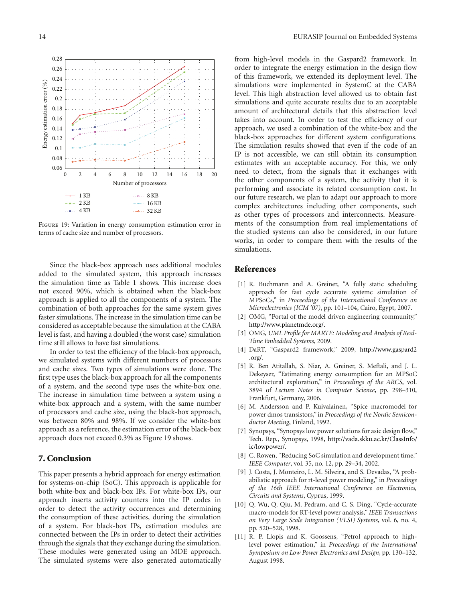

Figure 19: Variation in energy consumption estimation error in terms of cache size and number of processors.

Since the black-box approach uses additional modules added to the simulated system, this approach increases the simulation time as Table 1 shows. This increase does not exceed 90%, which is obtained when the black-box approach is applied to all the components of a system. The combination of both approaches for the same system gives faster simulations. The increase in the simulation time can be considered as acceptable because the simulation at the CABA level is fast, and having a doubled (the worst case) simulation time still allows to have fast simulations.

In order to test the efficiency of the black-box approach, we simulated systems with different numbers of processors and cache sizes. Two types of simulations were done. The first type uses the black-box approach for all the components of a system, and the second type uses the white-box one. The increase in simulation time between a system using a white-box approach and a system, with the same number of processors and cache size, using the black-box approach, was between 80% and 98%. If we consider the white-box approach as a reference, the estimation error of the black-box approach does not exceed 0.3% as Figure 19 shows.

#### **7. Conclusion**

This paper presents a hybrid approach for energy estimation for systems-on-chip (SoC). This approach is applicable for both white-box and black-box IPs. For white-box IPs, our approach inserts activity counters into the IP codes in order to detect the activity occurrences and determining the consumption of these activities, during the simulation of a system. For black-box IPs, estimation modules are connected between the IPs in order to detect their activities through the signals that they exchange during the simulation. These modules were generated using an MDE approach. The simulated systems were also generated automatically from high-level models in the Gaspard2 framework. In order to integrate the energy estimation in the design flow of this framework, we extended its deployment level. The simulations were implemented in SystemC at the CABA level. This high abstraction level allowed us to obtain fast simulations and quite accurate results due to an acceptable amount of architectural details that this abstraction level takes into account. In order to test the efficiency of our approach, we used a combination of the white-box and the black-box approaches for different system configurations. The simulation results showed that even if the code of an IP is not accessible, we can still obtain its consumption estimates with an acceptable accuracy. For this, we only need to detect, from the signals that it exchanges with the other components of a system, the activity that it is performing and associate its related consumption cost. In our future research, we plan to adapt our approach to more complex architectures including other components, such as other types of processors and interconnects. Measurements of the consumption from real implementations of the studied systems can also be considered, in our future works, in order to compare them with the results of the simulations.

#### **References**

- [1] R. Buchmann and A. Greiner, "A fully static scheduling approach for fast cycle accurate systemc simulation of MPSoCs," in *Proceedings of the International Conference on Microelectronics (ICM '07)*, pp. 101–104, Cairo, Egypt, 2007.
- [2] OMG, "Portal of the model driven engineering community," http://www.planetmde.org/.
- [3] OMG, *UML Profile for MARTE: Modeling and Analysis of Real-Time Embedded Systems*, 2009.
- [4] DaRT, "Gaspard2 framework," 2009, http://www.gaspard2 .org/.
- [5] R. Ben Atitallah, S. Niar, A. Greiner, S. Meftali, and J. L. Dekeyser, "Estimating energy consumption for an MPSoC architectural exploration," in *Proceedings of the ARCS*, vol. 3894 of *Lecture Notes in Computer Science*, pp. 298–310, Frankfurt, Germany, 2006.
- [6] M. Andersson and P. Kuivalainen, "Spice macromodel for power dmos transistors," in *Proceedings of the Nordic Semiconductor Meeting*, Finland, 1992.
- [7] Synopsys, "Synopsys low power solutions for asic design flow," Tech. Rep., Synopsys, 1998, http://vada.skku.ac.kr/ClassInfo/ ic/lowpower/.
- [8] C. Rowen, "Reducing SoC simulation and development time," *IEEE Computer*, vol. 35, no. 12, pp. 29–34, 2002.
- [9] J. Costa, J. Monteiro, L. M. Silveira, and S. Devadas, "A probabilistic approach for rt-level power modeling," in *Proceedings of the 16th IEEE International Conference on Electronics, Circuits and Systems*, Cyprus, 1999.
- [10] Q. Wu, Q. Qiu, M. Pedram, and C. S. Ding, "Cycle-accurate macro-models for RT-level power analysis," *IEEE Transactions on Very Large Scale Integration (VLSI) Systems*, vol. 6, no. 4, pp. 520–528, 1998.
- [11] R. P. Llopis and K. Goossens, "Petrol approach to highlevel power estimation," in *Proceedings of the International Symposium on Low Power Electronics and Design*, pp. 130–132, August 1998.